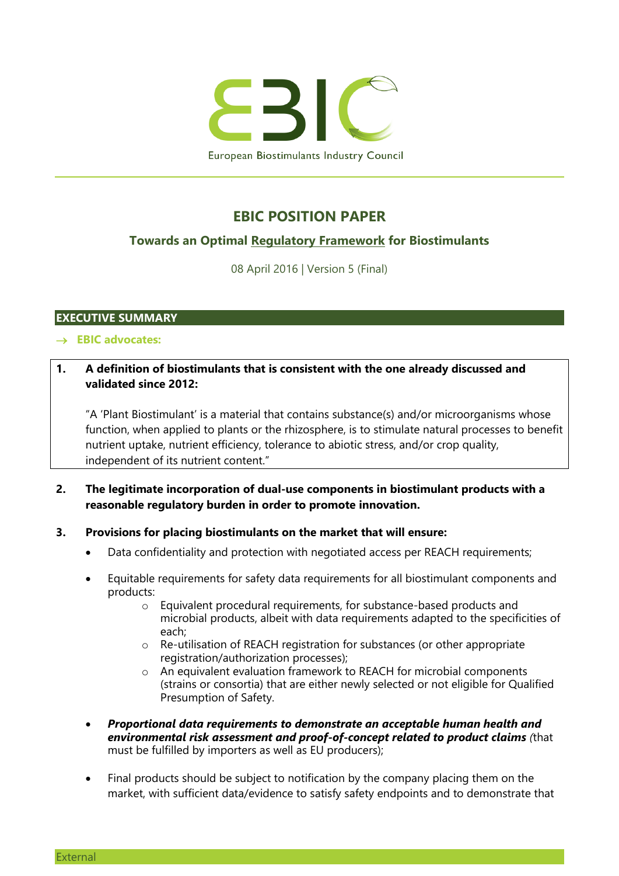

## **EBIC POSITION PAPER**

## **Towards an Optimal Regulatory Framework for Biostimulants**

08 April 2016 | Version 5 (Final)

## **EXECUTIVE SUMMARY**

#### **EBIC advocates:**

## **1. A definition of biostimulants that is consistent with the one already discussed and validated since 2012:**

"A 'Plant Biostimulant' is a material that contains substance(s) and/or microorganisms whose function, when applied to plants or the rhizosphere, is to stimulate natural processes to benefit nutrient uptake, nutrient efficiency, tolerance to abiotic stress, and/or crop quality, independent of its nutrient content."

## **2. The legitimate incorporation of dual-use components in biostimulant products with a reasonable regulatory burden in order to promote innovation.**

#### **3. Provisions for placing biostimulants on the market that will ensure:**

- Data confidentiality and protection with negotiated access per REACH requirements;
- Equitable requirements for safety data requirements for all biostimulant components and products:
	- o Equivalent procedural requirements, for substance-based products and microbial products, albeit with data requirements adapted to the specificities of each;
	- o Re-utilisation of REACH registration for substances (or other appropriate registration/authorization processes);
	- o An equivalent evaluation framework to REACH for microbial components (strains or consortia) that are either newly selected or not eligible for Qualified Presumption of Safety.
- *Proportional data requirements to demonstrate an acceptable human health and environmental risk assessment and proof-of-concept related to product claims (*that must be fulfilled by importers as well as EU producers);
- Final products should be subject to notification by the company placing them on the market, with sufficient data/evidence to satisfy safety endpoints and to demonstrate that

**External**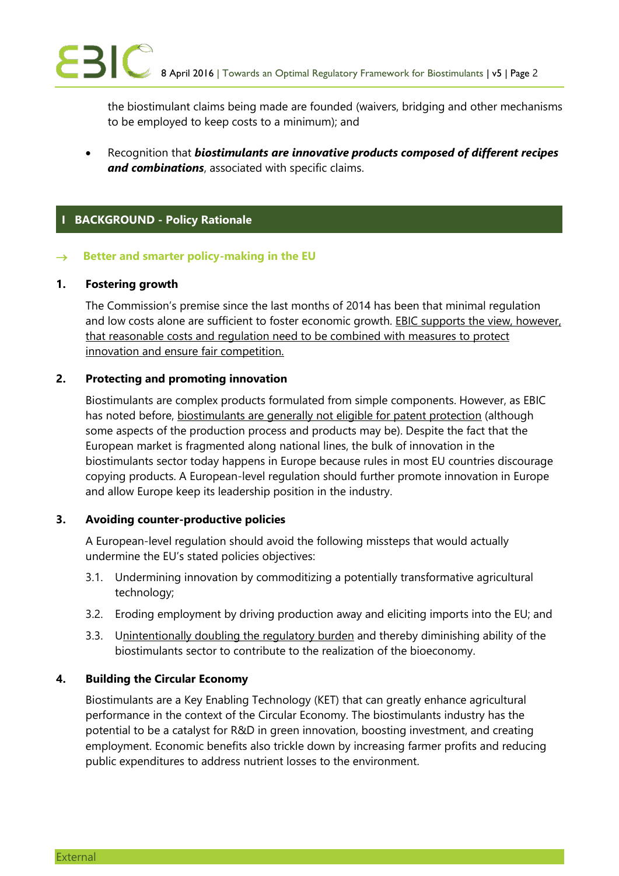the biostimulant claims being made are founded (waivers, bridging and other mechanisms to be employed to keep costs to a minimum); and

 Recognition that *biostimulants are innovative products composed of different recipes and combinations*, associated with specific claims.

## **I BACKGROUND - Policy Rationale**

#### $\rightarrow$  Better and smarter policy-making in the EU

## **1. Fostering growth**

The Commission's premise since the last months of 2014 has been that minimal regulation and low costs alone are sufficient to foster economic growth. EBIC supports the view, however, that reasonable costs and regulation need to be combined with measures to protect innovation and ensure fair competition.

## **2. Protecting and promoting innovation**

Biostimulants are complex products formulated from simple components. However, as EBIC has noted before, biostimulants are generally not eligible for patent protection (although some aspects of the production process and products may be). Despite the fact that the European market is fragmented along national lines, the bulk of innovation in the biostimulants sector today happens in Europe because rules in most EU countries discourage copying products. A European-level regulation should further promote innovation in Europe and allow Europe keep its leadership position in the industry.

## **3. Avoiding counter-productive policies**

A European-level regulation should avoid the following missteps that would actually undermine the EU's stated policies objectives:

- 3.1. Undermining innovation by commoditizing a potentially transformative agricultural technology;
- 3.2. Eroding employment by driving production away and eliciting imports into the EU; and
- 3.3. Unintentionally doubling the regulatory burden and thereby diminishing ability of the biostimulants sector to contribute to the realization of the bioeconomy.

## **4. Building the Circular Economy**

Biostimulants are a Key Enabling Technology (KET) that can greatly enhance agricultural performance in the context of the Circular Economy. The biostimulants industry has the potential to be a catalyst for R&D in green innovation, boosting investment, and creating employment. Economic benefits also trickle down by increasing farmer profits and reducing public expenditures to address nutrient losses to the environment.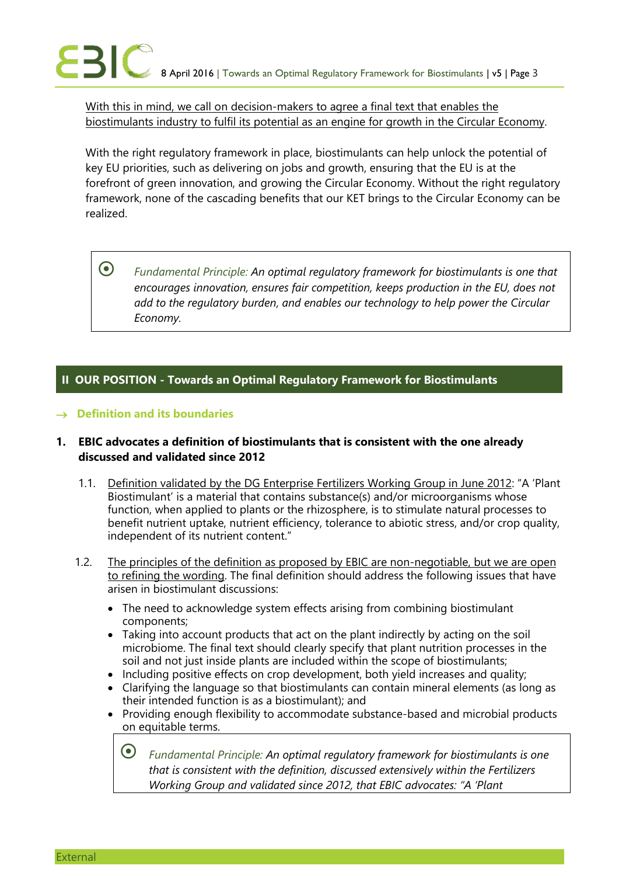With this in mind, we call on decision-makers to agree a final text that enables the biostimulants industry to fulfil its potential as an engine for growth in the Circular Economy.

With the right regulatory framework in place, biostimulants can help unlock the potential of key EU priorities, such as delivering on jobs and growth, ensuring that the EU is at the forefront of green innovation, and growing the Circular Economy. Without the right regulatory framework, none of the cascading benefits that our KET brings to the Circular Economy can be realized.

 *Fundamental Principle: An optimal regulatory framework for biostimulants is one that encourages innovation, ensures fair competition, keeps production in the EU, does not add to the regulatory burden, and enables our technology to help power the Circular Economy.*

## **II OUR POSITION - Towards an Optimal Regulatory Framework for Biostimulants**

## **Definition and its boundaries**

## **1. EBIC advocates a definition of biostimulants that is consistent with the one already discussed and validated since 2012**

- 1.1. Definition validated by the DG Enterprise Fertilizers Working Group in June 2012: "A 'Plant Biostimulant' is a material that contains substance(s) and/or microorganisms whose function, when applied to plants or the rhizosphere, is to stimulate natural processes to benefit nutrient uptake, nutrient efficiency, tolerance to abiotic stress, and/or crop quality, independent of its nutrient content."
- 1.2. The principles of the definition as proposed by EBIC are non-negotiable, but we are open to refining the wording. The final definition should address the following issues that have arisen in biostimulant discussions:
	- The need to acknowledge system effects arising from combining biostimulant components;
	- Taking into account products that act on the plant indirectly by acting on the soil microbiome. The final text should clearly specify that plant nutrition processes in the soil and not just inside plants are included within the scope of biostimulants;
	- Including positive effects on crop development, both yield increases and quality;
	- Clarifying the language so that biostimulants can contain mineral elements (as long as their intended function is as a biostimulant); and
	- Providing enough flexibility to accommodate substance-based and microbial products on equitable terms.

 *Fundamental Principle: An optimal regulatory framework for biostimulants is one that is consistent with the definition, discussed extensively within the Fertilizers Working Group and validated since 2012, that EBIC advocates: "A 'Plant*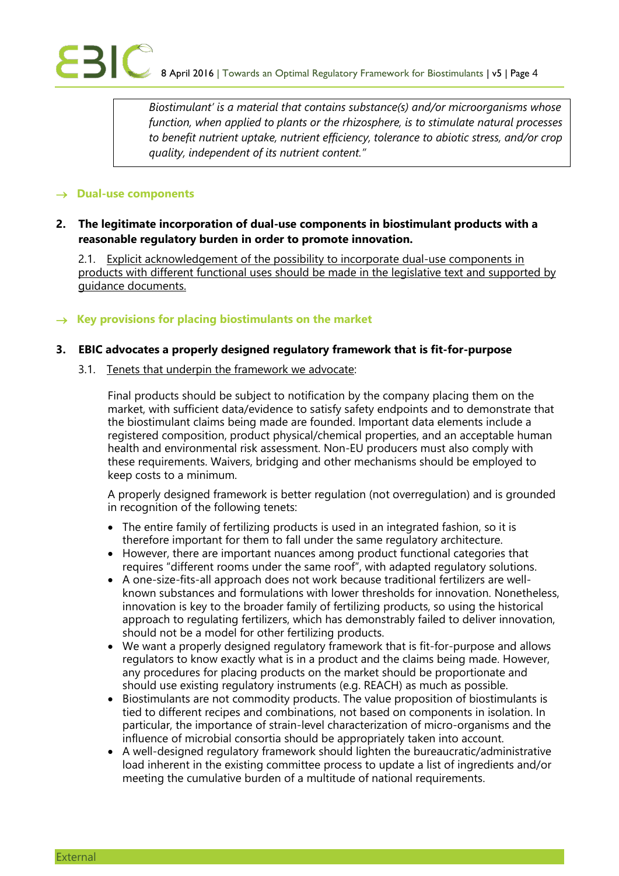*Biostimulant' is a material that contains substance(s) and/or microorganisms whose function, when applied to plants or the rhizosphere, is to stimulate natural processes to benefit nutrient uptake, nutrient efficiency, tolerance to abiotic stress, and/or crop quality, independent of its nutrient content."*

#### $\rightarrow$  Dual-use components

#### **2. The legitimate incorporation of dual-use components in biostimulant products with a reasonable regulatory burden in order to promote innovation.**

2.1. Explicit acknowledgement of the possibility to incorporate dual-use components in products with different functional uses should be made in the legislative text and supported by guidance documents.

#### $\rightarrow$  Key provisions for placing biostimulants on the market

#### **3. EBIC advocates a properly designed regulatory framework that is fit-for-purpose**

3.1. Tenets that underpin the framework we advocate:

Final products should be subject to notification by the company placing them on the market, with sufficient data/evidence to satisfy safety endpoints and to demonstrate that the biostimulant claims being made are founded. Important data elements include a registered composition, product physical/chemical properties, and an acceptable human health and environmental risk assessment. Non-EU producers must also comply with these requirements. Waivers, bridging and other mechanisms should be employed to keep costs to a minimum.

A properly designed framework is better regulation (not overregulation) and is grounded in recognition of the following tenets:

- The entire family of fertilizing products is used in an integrated fashion, so it is therefore important for them to fall under the same regulatory architecture.
- However, there are important nuances among product functional categories that requires "different rooms under the same roof", with adapted regulatory solutions.
- A one-size-fits-all approach does not work because traditional fertilizers are wellknown substances and formulations with lower thresholds for innovation. Nonetheless, innovation is key to the broader family of fertilizing products, so using the historical approach to regulating fertilizers, which has demonstrably failed to deliver innovation, should not be a model for other fertilizing products.
- We want a properly designed regulatory framework that is fit-for-purpose and allows regulators to know exactly what is in a product and the claims being made. However, any procedures for placing products on the market should be proportionate and should use existing regulatory instruments (e.g. REACH) as much as possible.
- Biostimulants are not commodity products. The value proposition of biostimulants is tied to different recipes and combinations, not based on components in isolation. In particular, the importance of strain-level characterization of micro-organisms and the influence of microbial consortia should be appropriately taken into account.
- A well-designed regulatory framework should lighten the bureaucratic/administrative load inherent in the existing committee process to update a list of ingredients and/or meeting the cumulative burden of a multitude of national requirements.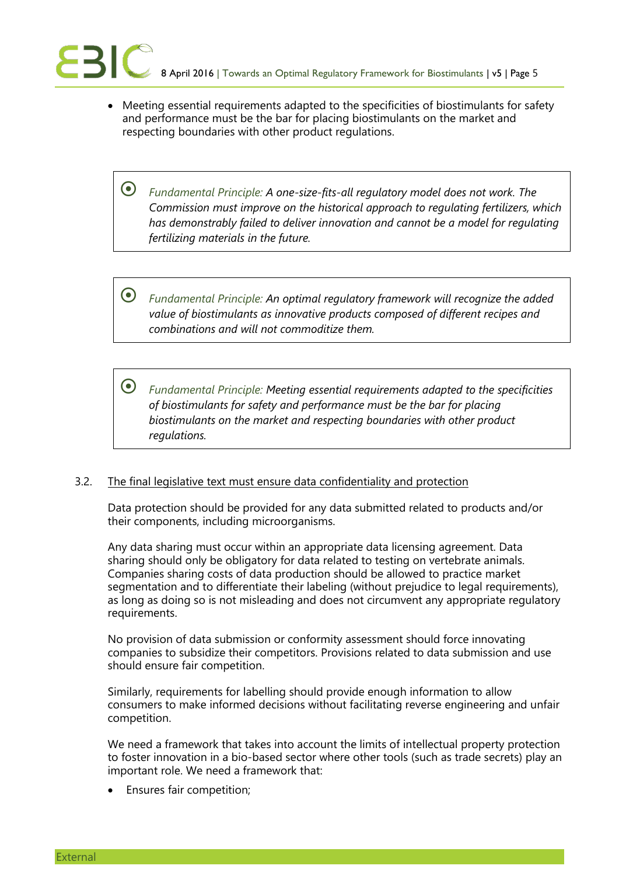Meeting essential requirements adapted to the specificities of biostimulants for safety and performance must be the bar for placing biostimulants on the market and respecting boundaries with other product regulations.

 *Fundamental Principle: A one-size-fits-all regulatory model does not work. The Commission must improve on the historical approach to regulating fertilizers, which has demonstrably failed to deliver innovation and cannot be a model for regulating fertilizing materials in the future.* 

 *Fundamental Principle: An optimal regulatory framework will recognize the added value of biostimulants as innovative products composed of different recipes and combinations and will not commoditize them.* 

 *Fundamental Principle: Meeting essential requirements adapted to the specificities of biostimulants for safety and performance must be the bar for placing biostimulants on the market and respecting boundaries with other product regulations.*

#### 3.2. The final legislative text must ensure data confidentiality and protection

Data protection should be provided for any data submitted related to products and/or their components, including microorganisms.

Any data sharing must occur within an appropriate data licensing agreement. Data sharing should only be obligatory for data related to testing on vertebrate animals. Companies sharing costs of data production should be allowed to practice market segmentation and to differentiate their labeling (without prejudice to legal requirements), as long as doing so is not misleading and does not circumvent any appropriate regulatory requirements.

No provision of data submission or conformity assessment should force innovating companies to subsidize their competitors. Provisions related to data submission and use should ensure fair competition.

Similarly, requirements for labelling should provide enough information to allow consumers to make informed decisions without facilitating reverse engineering and unfair competition.

We need a framework that takes into account the limits of intellectual property protection to foster innovation in a bio-based sector where other tools (such as trade secrets) play an important role. We need a framework that:

Ensures fair competition;

External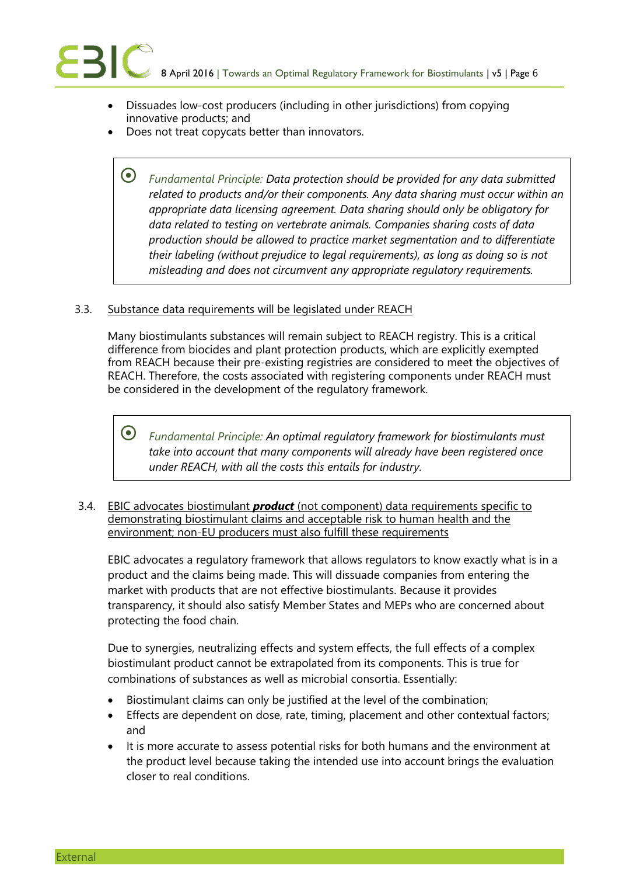- Dissuades low-cost producers (including in other jurisdictions) from copying innovative products; and
- Does not treat copycats better than innovators.

 *Fundamental Principle: Data protection should be provided for any data submitted related to products and/or their components. Any data sharing must occur within an appropriate data licensing agreement. Data sharing should only be obligatory for data related to testing on vertebrate animals. Companies sharing costs of data production should be allowed to practice market segmentation and to differentiate their labeling (without prejudice to legal requirements), as long as doing so is not misleading and does not circumvent any appropriate regulatory requirements.*

#### 3.3. Substance data requirements will be legislated under REACH

Many biostimulants substances will remain subject to REACH registry. This is a critical difference from biocides and plant protection products, which are explicitly exempted from REACH because their pre-existing registries are considered to meet the objectives of REACH. Therefore, the costs associated with registering components under REACH must be considered in the development of the regulatory framework.

 *Fundamental Principle: An optimal regulatory framework for biostimulants must take into account that many components will already have been registered once under REACH, with all the costs this entails for industry.*

3.4. EBIC advocates biostimulant *product* (not component) data requirements specific to demonstrating biostimulant claims and acceptable risk to human health and the environment; non-EU producers must also fulfill these requirements

EBIC advocates a regulatory framework that allows regulators to know exactly what is in a product and the claims being made. This will dissuade companies from entering the market with products that are not effective biostimulants. Because it provides transparency, it should also satisfy Member States and MEPs who are concerned about protecting the food chain.

Due to synergies, neutralizing effects and system effects, the full effects of a complex biostimulant product cannot be extrapolated from its components. This is true for combinations of substances as well as microbial consortia. Essentially:

- Biostimulant claims can only be justified at the level of the combination;
- Effects are dependent on dose, rate, timing, placement and other contextual factors; and
- It is more accurate to assess potential risks for both humans and the environment at the product level because taking the intended use into account brings the evaluation closer to real conditions.